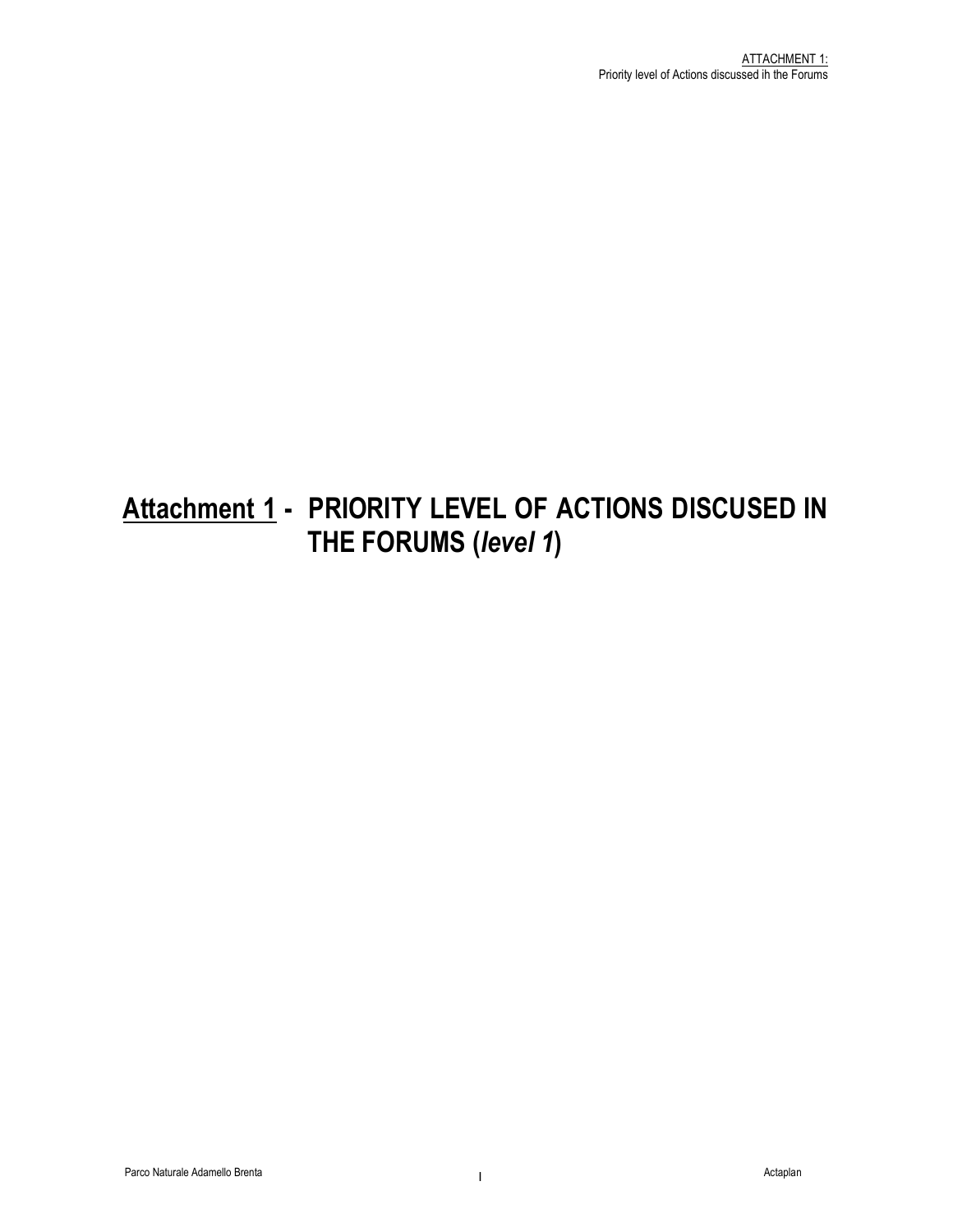# Attachment 1 - PRIORITY LEVEL OF ACTIONS DISCUSED IN THE FORUMS (level 1)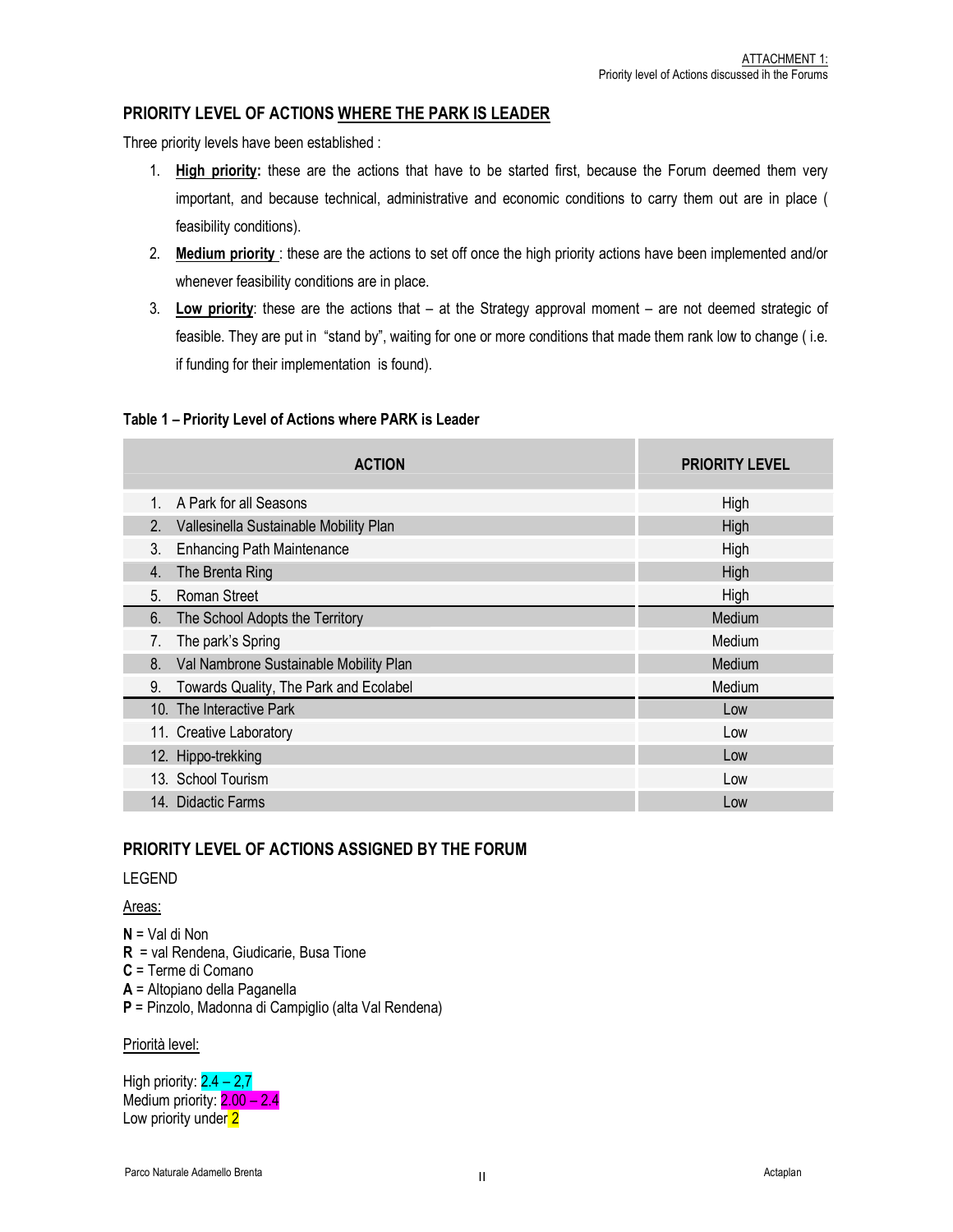## PRIORITY LEVEL OF ACTIONS WHERE THE PARK IS LEADER

Three priority levels have been established :

- 1. High priority: these are the actions that have to be started first, because the Forum deemed them very important, and because technical, administrative and economic conditions to carry them out are in place ( feasibility conditions).
- 2. Medium priority : these are the actions to set off once the high priority actions have been implemented and/or whenever feasibility conditions are in place.
- 3. Low priority: these are the actions that at the Strategy approval moment are not deemed strategic of feasible. They are put in "stand by", waiting for one or more conditions that made them rank low to change ( i.e. if funding for their implementation is found).

#### Table 1 – Priority Level of Actions where PARK is Leader

| <b>ACTION</b>                                | <b>PRIORITY LEVEL</b> |
|----------------------------------------------|-----------------------|
| A Park for all Seasons<br>$\mathbf{1}$       | High                  |
| 2. Vallesinella Sustainable Mobility Plan    | High                  |
| <b>Enhancing Path Maintenance</b><br>3.      | High                  |
| The Brenta Ring<br>$\overline{4}$ .          | High                  |
| <b>Roman Street</b><br>5 <sub>1</sub>        | High                  |
| 6.<br>The School Adopts the Territory        | Medium                |
| The park's Spring<br>7.                      | Medium                |
| Val Nambrone Sustainable Mobility Plan<br>8. | Medium                |
| Towards Quality, The Park and Ecolabel<br>9. | Medium                |
| 10. The Interactive Park                     | Low                   |
| 11. Creative Laboratory                      | Low                   |
| 12. Hippo-trekking                           | Low                   |
| 13. School Tourism                           | Low                   |
| 14. Didactic Farms                           | Low                   |

## PRIORITY LEVEL OF ACTIONS ASSIGNED BY THE FORUM

#### LEGEND

Areas:

N = Val di Non R = val Rendena, Giudicarie, Busa Tione C = Terme di Comano A = Altopiano della Paganella P = Pinzolo, Madonna di Campiglio (alta Val Rendena)

Priorità level:

High priority:  $2.4 - 2.7$ Medium priority:  $2.00 - 2.4$ Low priority under 2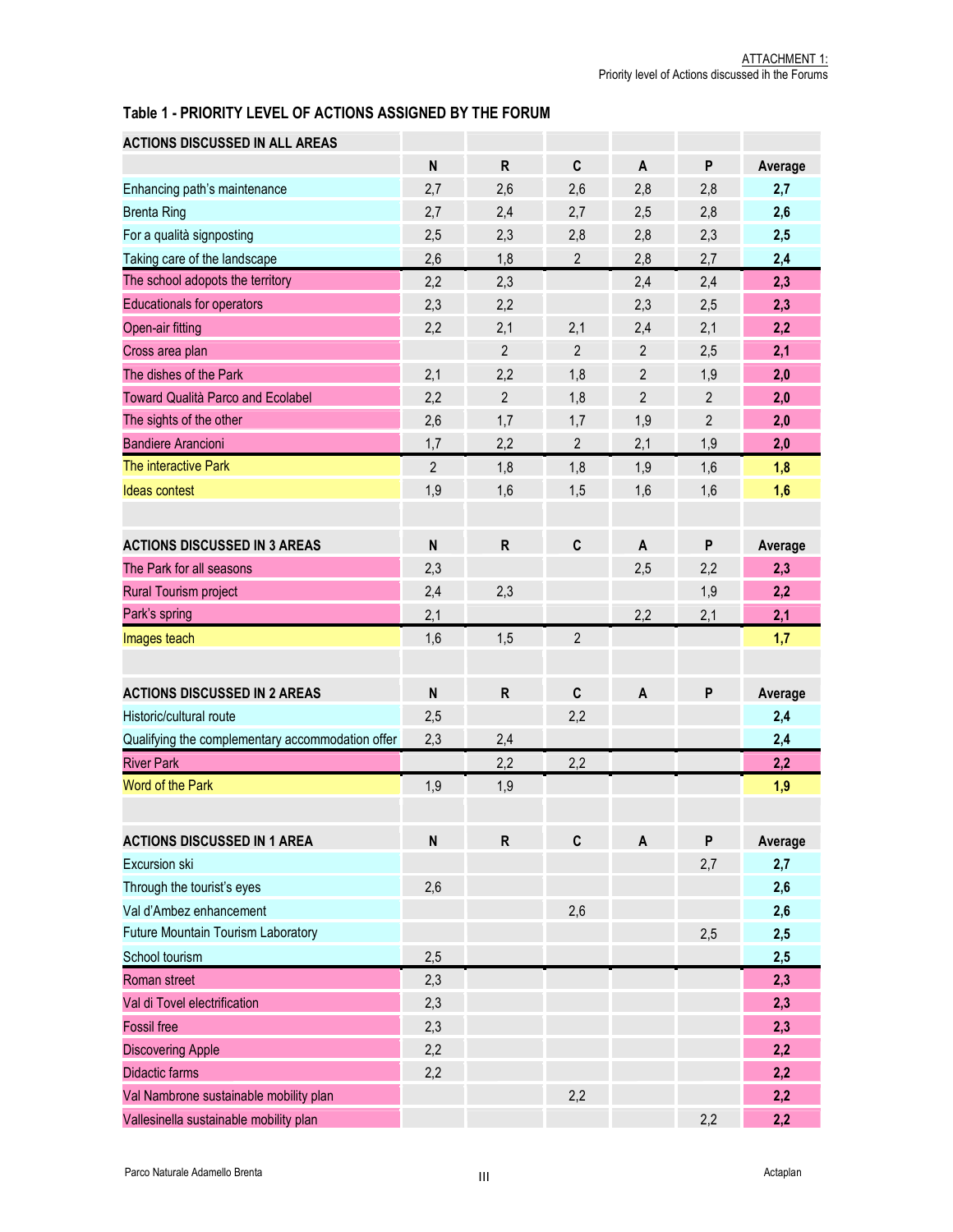## Table 1 - PRIORITY LEVEL OF ACTIONS ASSIGNED BY THE FORUM

| <b>ACTIONS DISCUSSED IN ALL AREAS</b>            |                           |                |                |                |                |         |
|--------------------------------------------------|---------------------------|----------------|----------------|----------------|----------------|---------|
|                                                  | N                         | $\mathsf{R}$   | $\mathbf c$    | A              | P              | Average |
| Enhancing path's maintenance                     | 2,7                       | 2,6            | 2,6            | 2,8            | 2,8            | 2,7     |
| <b>Brenta Ring</b>                               | 2,7                       | 2,4            | 2,7            | 2,5            | 2,8            | 2,6     |
| For a qualità signposting                        | 2,5                       | 2,3            | 2,8            | 2,8            | 2,3            | 2,5     |
| Taking care of the landscape                     | 2,6                       | 1,8            | $\overline{2}$ | 2,8            | 2,7            | 2,4     |
| The school adopots the territory                 | 2,2                       | 2,3            |                | 2,4            | 2,4            | 2,3     |
| <b>Educationals for operators</b>                | 2,3                       | 2,2            |                | 2,3            | 2,5            | 2,3     |
| Open-air fitting                                 | 2,2                       | 2,1            | 2,1            | 2,4            | 2,1            | 2,2     |
| Cross area plan                                  |                           | $\overline{2}$ | $\overline{2}$ | $\overline{2}$ | 2,5            | 2,1     |
| The dishes of the Park                           | 2,1                       | 2,2            | 1,8            | $\overline{2}$ | 1,9            | 2,0     |
| Toward Qualità Parco and Ecolabel                | 2,2                       | $\sqrt{2}$     | 1,8            | $\overline{2}$ | $\overline{2}$ | 2,0     |
| The sights of the other                          | 2,6                       | 1,7            | 1,7            | 1,9            | $\overline{2}$ | 2,0     |
| <b>Bandiere Arancioni</b>                        | 1,7                       | 2,2            | $\overline{2}$ | 2,1            | 1,9            | 2,0     |
| The interactive Park                             | $\overline{2}$            | 1,8            | 1,8            | 1,9            | 1,6            | 1,8     |
| <b>Ideas contest</b>                             | 1,9                       | 1,6            | 1,5            | 1,6            | 1,6            | 1,6     |
|                                                  |                           |                |                |                |                |         |
| <b>ACTIONS DISCUSSED IN 3 AREAS</b>              | $\boldsymbol{\mathsf{N}}$ | ${\sf R}$      | $\mathbf c$    | A              | P              | Average |
| The Park for all seasons                         | 2,3                       |                |                | 2,5            | 2,2            | 2,3     |
| Rural Tourism project                            | 2,4                       | 2,3            |                |                | 1,9            | 2,2     |
| Park's spring                                    | 2,1                       |                |                | 2,2            | 2,1            | 2,1     |
| Images teach                                     | 1,6                       | 1,5            | $\overline{2}$ |                |                | 1,7     |
|                                                  |                           |                |                |                |                |         |
| <b>ACTIONS DISCUSSED IN 2 AREAS</b>              | N                         | ${\sf R}$      | $\mathbf c$    | $\overline{A}$ | P              | Average |
| Historic/cultural route                          | 2,5                       |                | 2,2            |                |                | 2,4     |
| Qualifying the complementary accommodation offer | 2,3                       | 2,4            |                |                |                | 2,4     |
| <b>River Park</b>                                |                           | 2,2            | 2,2            |                |                | 2,2     |
| Word of the Park                                 | 1,9                       | 1,9            |                |                |                | 1,9     |
|                                                  |                           |                |                |                |                |         |
| <b>ACTIONS DISCUSSED IN 1 AREA</b>               | ${\sf N}$                 | $\mathsf{R}$   | $\mathbf c$    | A              | ${\sf P}$      | Average |
| <b>Excursion ski</b>                             |                           |                |                |                | 2,7            | 2,7     |
| Through the tourist's eyes                       | 2,6                       |                |                |                |                | 2,6     |
| Val d'Ambez enhancement                          |                           |                | 2,6            |                |                | 2,6     |
| Future Mountain Tourism Laboratory               |                           |                |                |                | 2,5            | 2,5     |
| School tourism                                   | 2,5                       |                |                |                |                | 2,5     |
| Roman street                                     | 2,3                       |                |                |                |                | 2,3     |
| Val di Tovel electrification                     | 2,3                       |                |                |                |                | 2,3     |
| <b>Fossil</b> free                               | 2,3                       |                |                |                |                | 2,3     |
| <b>Discovering Apple</b>                         | 2,2                       |                |                |                |                | 2,2     |
| <b>Didactic farms</b>                            | 2,2                       |                |                |                |                | 2,2     |
| Val Nambrone sustainable mobility plan           |                           |                | 2,2            |                |                | 2,2     |
| Vallesinella sustainable mobility plan           |                           |                |                |                | 2,2            | 2,2     |